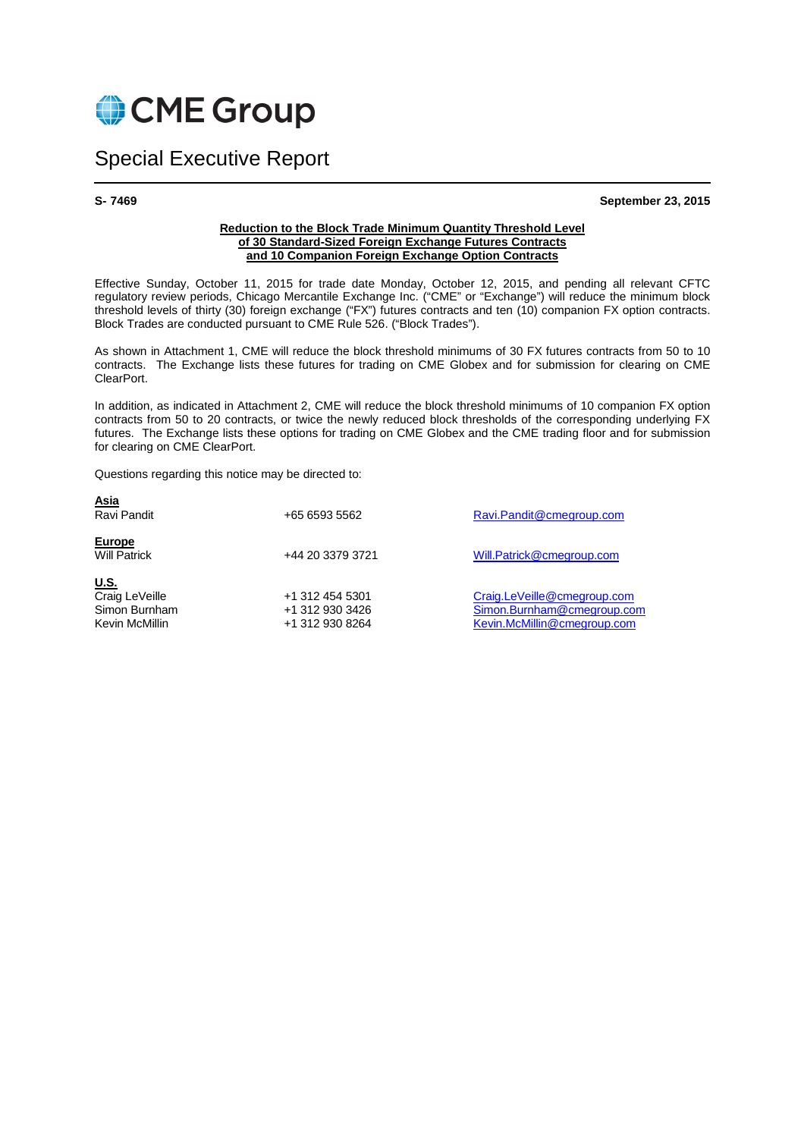

# Special Executive Report

**S- 7469 September 23, 2015** 

#### **Reduction to the Block Trade Minimum Quantity Threshold Level of 30 Standard-Sized Foreign Exchange Futures Contracts and 10 Companion Foreign Exchange Option Contracts**

Effective Sunday, October 11, 2015 for trade date Monday, October 12, 2015, and pending all relevant CFTC regulatory review periods, Chicago Mercantile Exchange Inc. ("CME" or "Exchange") will reduce the minimum block threshold levels of thirty (30) foreign exchange ("FX") futures contracts and ten (10) companion FX option contracts. Block Trades are conducted pursuant to CME Rule 526. ("Block Trades").

As shown in Attachment 1, CME will reduce the block threshold minimums of 30 FX futures contracts from 50 to 10 contracts. The Exchange lists these futures for trading on CME Globex and for submission for clearing on CME ClearPort.

In addition, as indicated in Attachment 2, CME will reduce the block threshold minimums of 10 companion FX option contracts from 50 to 20 contracts, or twice the newly reduced block thresholds of the corresponding underlying FX futures. The Exchange lists these options for trading on CME Globex and the CME trading floor and for submission for clearing on CME ClearPort.

Questions regarding this notice may be directed to:

| <u>Asia</u><br>Ravi Pandit                                       | +65 6593 5562                                         | Ravi.Pandit@cmegroup.com                                                                 |
|------------------------------------------------------------------|-------------------------------------------------------|------------------------------------------------------------------------------------------|
| <b>Europe</b><br><b>Will Patrick</b>                             | +44 20 3379 3721                                      | Will.Patrick@cmegroup.com                                                                |
| <u>U.S.</u><br>Craig LeVeille<br>Simon Burnham<br>Kevin McMillin | +1 312 454 5301<br>+1 312 930 3426<br>+1 312 930 8264 | Craig.LeVeille@cmegroup.com<br>Simon.Burnham@cmegroup.com<br>Kevin.McMillin@cmegroup.com |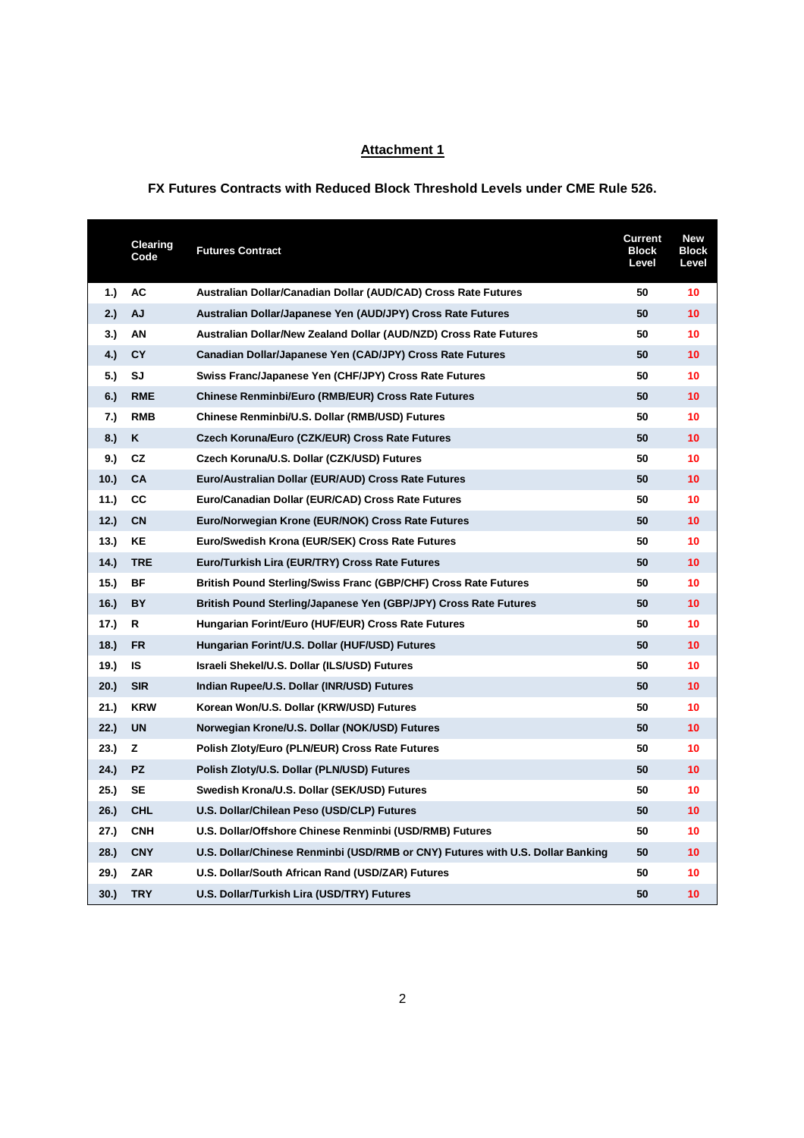### **Attachment 1**

#### **FX Futures Contracts with Reduced Block Threshold Levels under CME Rule 526.**

|       | <b>Clearing</b><br>Code | <b>Futures Contract</b>                                                        | <b>Current</b><br><b>Block</b><br>Level | <b>New</b><br><b>Block</b><br>Level |
|-------|-------------------------|--------------------------------------------------------------------------------|-----------------------------------------|-------------------------------------|
| 1.)   | АC                      | Australian Dollar/Canadian Dollar (AUD/CAD) Cross Rate Futures                 | 50                                      | 10                                  |
| 2.)   | AJ                      | Australian Dollar/Japanese Yen (AUD/JPY) Cross Rate Futures                    | 50                                      | 10 <sup>1</sup>                     |
| 3.)   | ΑN                      | Australian Dollar/New Zealand Dollar (AUD/NZD) Cross Rate Futures              | 50                                      | 10                                  |
| 4.)   | <b>CY</b>               | Canadian Dollar/Japanese Yen (CAD/JPY) Cross Rate Futures                      | 50                                      | 10                                  |
| 5.)   | SJ                      | Swiss Franc/Japanese Yen (CHF/JPY) Cross Rate Futures                          | 50                                      | 10                                  |
| 6.)   | <b>RME</b>              | <b>Chinese Renminbi/Euro (RMB/EUR) Cross Rate Futures</b>                      | 50                                      | 10                                  |
| 7.)   | <b>RMB</b>              | Chinese Renminbi/U.S. Dollar (RMB/USD) Futures                                 | 50                                      | 10                                  |
| 8.)   | Κ                       | Czech Koruna/Euro (CZK/EUR) Cross Rate Futures                                 | 50                                      | 10                                  |
| 9.)   | CZ                      | Czech Koruna/U.S. Dollar (CZK/USD) Futures                                     | 50                                      | 10                                  |
| 10.   | <b>CA</b>               | Euro/Australian Dollar (EUR/AUD) Cross Rate Futures                            | 50                                      | 10                                  |
| 11.)  | СC                      | Euro/Canadian Dollar (EUR/CAD) Cross Rate Futures                              | 50                                      | 10                                  |
| 12.   | <b>CN</b>               | Euro/Norwegian Krone (EUR/NOK) Cross Rate Futures                              | 50                                      | 10                                  |
| 13.   | ΚE                      | Euro/Swedish Krona (EUR/SEK) Cross Rate Futures                                | 50                                      | 10                                  |
| (14.) | <b>TRE</b>              | Euro/Turkish Lira (EUR/TRY) Cross Rate Futures                                 | 50                                      | 10                                  |
| 15.   | ΒF                      | <b>British Pound Sterling/Swiss Franc (GBP/CHF) Cross Rate Futures</b>         | 50                                      | 10                                  |
| 16.   | BY                      | British Pound Sterling/Japanese Yen (GBP/JPY) Cross Rate Futures               | 50                                      | 10                                  |
| 17.)  | R                       | Hungarian Forint/Euro (HUF/EUR) Cross Rate Futures                             | 50                                      | 10                                  |
| 18.   | FR                      | Hungarian Forint/U.S. Dollar (HUF/USD) Futures                                 | 50                                      | 10                                  |
| 19.)  | IS                      | Israeli Shekel/U.S. Dollar (ILS/USD) Futures                                   | 50                                      | 10                                  |
| 20.   | <b>SIR</b>              | Indian Rupee/U.S. Dollar (INR/USD) Futures                                     | 50                                      | 10                                  |
| 21.   | <b>KRW</b>              | Korean Won/U.S. Dollar (KRW/USD) Futures                                       | 50                                      | 10                                  |
| 22.)  | <b>UN</b>               | Norwegian Krone/U.S. Dollar (NOK/USD) Futures                                  | 50                                      | 10                                  |
| 23.)  | z                       | Polish Zloty/Euro (PLN/EUR) Cross Rate Futures                                 | 50                                      | 10                                  |
| 24.)  | <b>PZ</b>               | Polish Zloty/U.S. Dollar (PLN/USD) Futures                                     | 50                                      | 10                                  |
| 25.)  | SE                      | Swedish Krona/U.S. Dollar (SEK/USD) Futures                                    | 50                                      | 10                                  |
| 26.)  | <b>CHL</b>              | U.S. Dollar/Chilean Peso (USD/CLP) Futures                                     | 50                                      | 10                                  |
| 27.)  | <b>CNH</b>              | U.S. Dollar/Offshore Chinese Renminbi (USD/RMB) Futures                        | 50                                      | 10                                  |
| 28.   | <b>CNY</b>              | U.S. Dollar/Chinese Renminbi (USD/RMB or CNY) Futures with U.S. Dollar Banking | 50                                      | 10                                  |
| 29.)  | <b>ZAR</b>              | U.S. Dollar/South African Rand (USD/ZAR) Futures                               | 50                                      | 10                                  |
| 30.   | <b>TRY</b>              | U.S. Dollar/Turkish Lira (USD/TRY) Futures                                     | 50                                      | 10                                  |